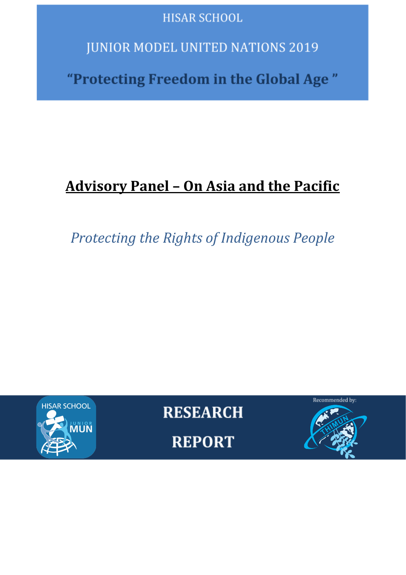**HISAR SCHOOL** 

**JUNIOR MODEL UNITED NATIONS 2019** 

"Protecting Freedom in the Global Age"

# **Advisory Panel – On Asia and the Pacific**

*Protecting the Rights of Indigenous People*

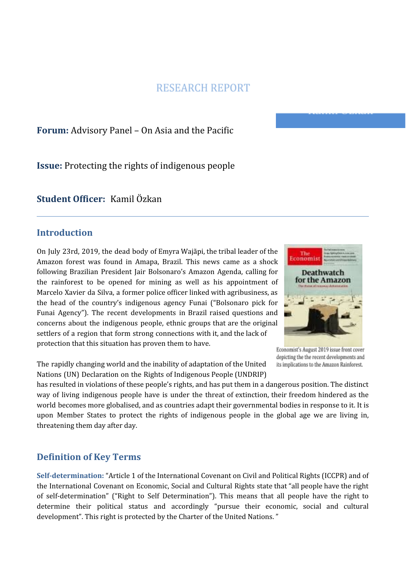**Forum:** Advisory Panel – On Asia and the Pacific

**Issue:** Protecting the rights of indigenous people

## **Student Officer:** Kamil Özkan

### **Introduction**

On July 23rd, 2019, the dead body of Emyra Wajãpi, the tribal leader of the Amazon forest was found in Amapa, Brazil. This news came as a shock following Brazilian President Jair Bolsonaro's Amazon Agenda, calling for the rainforest to be opened for mining as well as his appointment of Marcelo Xavier da Silva, a former police officer linked with agribusiness, as the head of the country's indigenous agency Funai ("Bolsonaro pick for Funai Agency"). The recent developments in Brazil raised questions and concerns about the indigenous people, ethnic groups that are the original settlers of a region that form strong connections with it, and the lack of protection that this situation has proven them to have.



Economist's August 2019 issue front cover depicting the the recent developments and its implications to the Amazon Rainforest.

The rapidly changing world and the inability of adaptation of the United Nations (UN) Declaration on the Rights of Indigenous People (UNDRIP)

has resulted in violations of these people's rights, and has put them in a dangerous position. The distinct way of living indigenous people have is under the threat of extinction, their freedom hindered as the world becomes more globalised, and as countries adapt their governmental bodies in response to it. It is upon Member States to protect the rights of indigenous people in the global age we are living in, threatening them day after day.

### **Definition of Key Terms**

**Self-determination:** "Article 1 of the International Covenant on Civil and Political Rights (ICCPR) and of the International Covenant on Economic, Social and Cultural Rights state that "all people have the right of self-determination" ("Right to Self Determination"). This means that all people have the right to determine their political status and accordingly "pursue their economic, social and cultural development". This right is protected by the Charter of the United Nations. "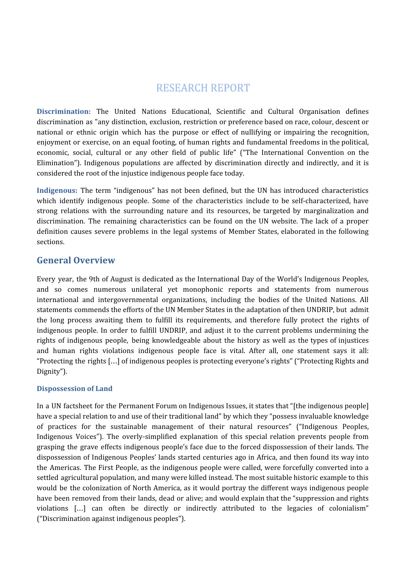**Discrimination:** The United Nations Educational, Scientific and Cultural Organisation defines discrimination as "any distinction, exclusion, restriction or preference based on race, colour, descent or national or ethnic origin which has the purpose or effect of nullifying or impairing the recognition, enjoyment or exercise, on an equal footing, of human rights and fundamental freedoms in the political, economic, social, cultural or any other field of public life" ("The International Convention on the Elimination"). Indigenous populations are affected by discrimination directly and indirectly, and it is considered the root of the injustice indigenous people face today.

**Indigenous:** The term "indigenous" has not been defined, but the UN has introduced characteristics which identify indigenous people. Some of the characteristics include to be self-characterized, have strong relations with the surrounding nature and its resources, be targeted by marginalization and discrimination. The remaining characteristics can be found on the UN website. The lack of a proper definition causes severe problems in the legal systems of Member States, elaborated in the following sections.

### **General Overview**

Every year, the 9th of August is dedicated as the International Day of the World's Indigenous Peoples, and so comes numerous unilateral yet monophonic reports and statements from numerous international and intergovernmental organizations, including the bodies of the United Nations. All statements commends the efforts of the UN Member States in the adaptation of then UNDRIP, but admit the long process awaiting them to fulfill its requirements, and therefore fully protect the rights of indigenous people. In order to fulfill UNDRIP, and adjust it to the current problems undermining the rights of indigenous people, being knowledgeable about the history as well as the types of injustices and human rights violations indigenous people face is vital. After all, one statement says it all: "Protecting the rights […] of indigenous peoples is protecting everyone's rights" ("Protecting Rights and Dignity").

#### **Dispossession of Land**

In a UN factsheet for the Permanent Forum on Indigenous Issues, it states that "[the indigenous people] have a special relation to and use of their traditional land" by which they "possess invaluable knowledge of practices for the sustainable management of their natural resources" ("Indigenous Peoples, Indigenous Voices"). The overly-simplified explanation of this special relation prevents people from grasping the grave effects indigenous people's face due to the forced dispossession of their lands. The dispossession of Indigenous Peoples' lands started centuries ago in Africa, and then found its way into the Americas. The First People, as the indigenous people were called, were forcefully converted into a settled agricultural population, and many were killed instead. The most suitable historic example to this would be the colonization of North America, as it would portray the different ways indigenous people have been removed from their lands, dead or alive; and would explain that the "suppression and rights violations […] can often be directly or indirectly attributed to the legacies of colonialism" ("Discrimination against indigenous peoples").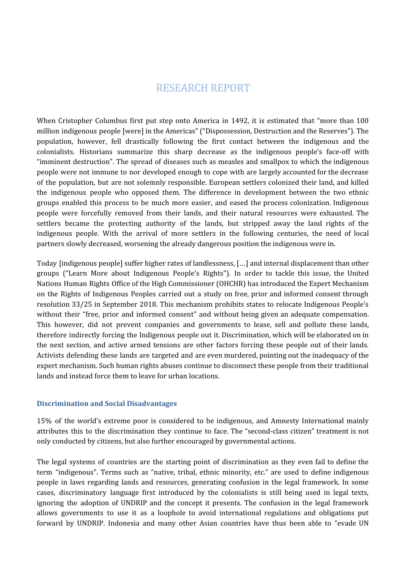When Cristopher Columbus first put step onto America in 1492, it is estimated that "more than 100 million indigenous people [were] in the Americas" ("Dispossession, Destruction and the Reserves"). The population, however, fell drastically following the first contact between the indigenous and the colonialists. Historians summarize this sharp decrease as the indigenous people's face-off with "imminent destruction". The spread of diseases such as measles and smallpox to which the indigenous people were not immune to nor developed enough to cope with are largely accounted for the decrease of the population, but are not solemnly responsible. European settlers colonized their land, and killed the indigenous people who opposed them. The difference in development between the two ethnic groups enabled this process to be much more easier, and eased the process colonization. Indigenous people were forcefully removed from their lands, and their natural resources were exhausted. The settlers became the protecting authority of the lands, but stripped away the land rights of the indigenous people. With the arrival of more settlers in the following centuries, the need of local partners slowly decreased, worsening the already dangerous position the indigenous were in.

Today [indigenous people] suffer higher rates of landlessness, […] and internal displacement than other groups ("Learn More about Indigenous People's Rights"). In order to tackle this issue, the United Nations Human Rights Office of the High Commissioner (OHCHR) has introduced the Expert Mechanism on the Rights of Indigenous Peoples carried out a study on free, prior and informed consent through resolution 33/25 in September 2018. This mechanism prohibits states to relocate Indigenous People's without their "free, prior and informed consent" and without being given an adequate compensation. This however, did not prevent companies and governments to lease, sell and pollute these lands, therefore indirectly forcing the Indigenous people out it. Discrimination, which will be elaborated on in the next section, and active armed tensions are other factors forcing these people out of their lands. Activists defending these lands are targeted and are even murdered, pointing out the inadequacy of the expert mechanism. Such human rights abuses continue to disconnect these people from their traditional lands and instead force them to leave for urban locations.

#### **Discrimination and Social Disadvantages**

15% of the world's extreme poor is considered to be indigenous, and Amnesty International mainly attributes this to the discrimination they continue to face. The "second-class citizen" treatment is not only conducted by citizens, but also further encouraged by governmental actions.

The legal systems of countries are the starting point of discrimination as they even fail to define the term "indigenous". Terms such as "native, tribal, ethnic minority, etc." are used to define indigenous people in laws regarding lands and resources, generating confusion in the legal framework. In some cases, discriminatory language first introduced by the colonialists is still being used in legal texts, ignoring the adoption of UNDRIP and the concept it presents. The confusion in the legal framework allows governments to use it as a loophole to avoid international regulations and obligations put forward by UNDRIP. Indonesia and many other Asian countries have thus been able to "evade UN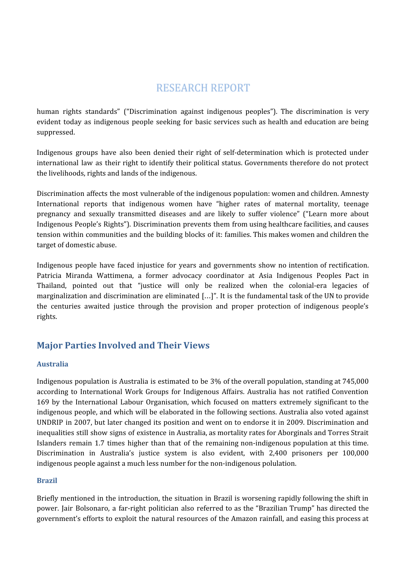human rights standards" ("Discrimination against indigenous peoples"). The discrimination is very evident today as indigenous people seeking for basic services such as health and education are being suppressed.

Indigenous groups have also been denied their right of self-determination which is protected under international law as their right to identify their political status. Governments therefore do not protect the livelihoods, rights and lands of the indigenous.

Discrimination affects the most vulnerable of the indigenous population: women and children. Amnesty International reports that indigenous women have "higher rates of maternal mortality, teenage pregnancy and sexually transmitted diseases and are likely to suffer violence" ("Learn more about Indigenous People's Rights"). Discrimination prevents them from using healthcare facilities, and causes tension within communities and the building blocks of it: families. This makes women and children the target of domestic abuse.

Indigenous people have faced injustice for years and governments show no intention of rectification. Patricia Miranda Wattimena, a former advocacy coordinator at Asia Indigenous Peoples Pact in Thailand, pointed out that "justice will only be realized when the colonial-era legacies of marginalization and discrimination are eliminated […]". It is the fundamental task of the UN to provide the centuries awaited justice through the provision and proper protection of indigenous people's rights.

## **Major Parties Involved and Their Views**

#### **Australia**

Indigenous population is Australia is estimated to be 3% of the overall population, standing at 745,000 according to International Work Groups for Indigenous Affairs. Australia has not ratified Convention 169 by the International Labour Organisation, which focused on matters extremely significant to the indigenous people, and which will be elaborated in the following sections. Australia also voted against UNDRIP in 2007, but later changed its position and went on to endorse it in 2009. Discrimination and inequalities still show signs of existence in Australia, as mortality rates for Aborginals and Torres Strait Islanders remain 1.7 times higher than that of the remaining non-indigenous population at this time. Discrimination in Australia's justice system is also evident, with 2,400 prisoners per 100,000 indigenous people against a much less number for the non-indigenous polulation.

#### **Brazil**

Briefly mentioned in the introduction, the situation in Brazil is worsening rapidly following the shift in power. Jair Bolsonaro, a far-right politician also referred to as the "Brazilian Trump" has directed the government's efforts to exploit the natural resources of the Amazon rainfall, and easing this process at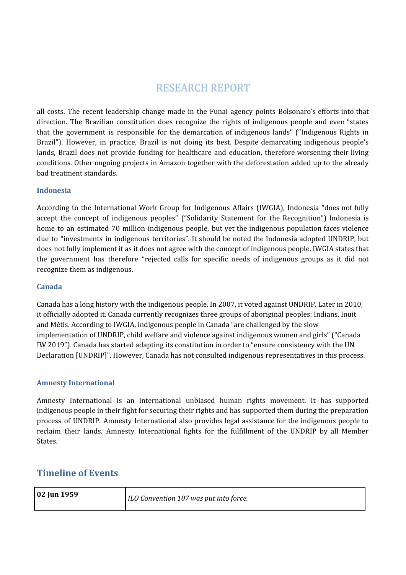all costs. The recent leadership change made in the Funai agency points Bolsonaro's efforts into that direction. The Brazilian constitution does recognize the rights of indigenous people and even "states that the government is responsible for the demarcation of indigenous lands" ("Indigenous Rights in Brazil"). However, in practice, Brazil is not doing its best. Despite demarcating indigenous people's lands, Brazil does not provide funding for healthcare and education, therefore worsening their living conditions. Other ongoing projects in Amazon together with the deforestation added up to the already bad treatment standards.

#### **Indonesia**

According to the International Work Group for Indigenous Affairs (IWGIA), Indonesia "does not fully accept the concept of indigenous peoples" ("Solidarity Statement for the Recognition") Indonesia is home to an estimated 70 million indigenous people, but yet the indigenous population faces violence due to "investments in indigenous territories". It should be noted the Indonesia adopted UNDRIP, but does not fully implement it as it does not agree with the concept of indigenous people. IWGIA states that the government has therefore "rejected calls for specific needs of indigenous groups as it did not recognize them as indigenous.

#### **Canada**

Canada has a long history with the indigenous people. In 2007, it voted against UNDRIP. Later in 2010, it officially adopted it. Canada currently recognizes three groups of aboriginal peoples: Indians, Inuit and Métis. According to IWGIA, indigenous people in Canada "are challenged by the slow implementation of UNDRIP, child welfare and violence against indigenous women and girls" ("Canada IW 2019"). Canada has started adapting its constitution in order to "ensure consistency with the UN Declaration [UNDRIP]". However, Canada has not consulted indigenous representatives in this process.

#### **Amnesty International**

Amnesty International is an international unbiased human rights movement. It has supported indigenous people in their fight for securing their rights and has supported them during the preparation process of UNDRIP. Amnesty International also provides legal assistance for the indigenous people to reclaim their lands. Amnesty International fights for the fulfillment of the UNDRIP by all Member States.

### **Timeline of Events**

| 02 Jun 1959 | ILO Convention 107 was put into force. |
|-------------|----------------------------------------|
|             |                                        |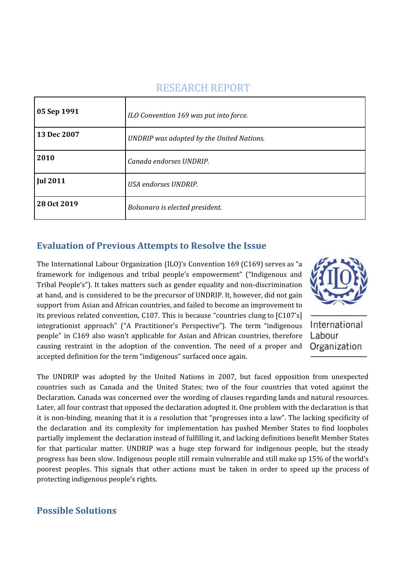| 05 Sep 1991     | ILO Convention 169 was put into force.    |
|-----------------|-------------------------------------------|
| 13 Dec 2007     | UNDRIP was adopted by the United Nations. |
| 2010            | Canada endorses UNDRIP.                   |
| <b>Jul 2011</b> | <b>USA</b> endorses UNDRIP.               |
| 28 Oct 2019     | Bolsonaro is elected president.           |

### **Evaluation of Previous Attempts to Resolve the Issue**

The International Labour Organization (ILO)'s Convention 169 (C169) serves as "a framework for indigenous and tribal people's empowerment" ("Indigenous and Tribal People's"). It takes matters such as gender equality and non-discrimination at hand, and is considered to be the precursor of UNDRIP. It, however, did not gain support from Asian and African countries, and failed to become an improvement to its previous related convention, C107. This is because "countries clung to [C107's] integrationist approach" ("A Practitioner's Perspective"). The term "indigenous people" in C169 also wasn't applicable for Asian and African countries, therefore causing restraint in the adoption of the convention. The need of a proper and accepted definition for the term "indigenous" surfaced once again.



International Labour Organization

The UNDRIP was adopted by the United Nations in 2007, but faced opposition from unexpected countries such as Canada and the United States; two of the four countries that voted against the Declaration. Canada was concerned over the wording of clauses regarding lands and natural resources. Later, all four contrast that opposed the declaration adopted it. One problem with the declaration is that it is non-binding, meaning that it is a resolution that "progresses into a law". The lacking specificity of the declaration and its complexity for implementation has pushed Member States to find loopholes partially implement the declaration instead of fulfilling it, and lacking definitions benefit Member States for that particular matter. UNDRIP was a huge step forward for indigenous people, but the steady progress has been slow. Indigenous people still remain vulnerable and still make up 15% of the world's poorest peoples. This signals that other actions must be taken in order to speed up the process of protecting indigenous people's rights.

### **Possible Solutions**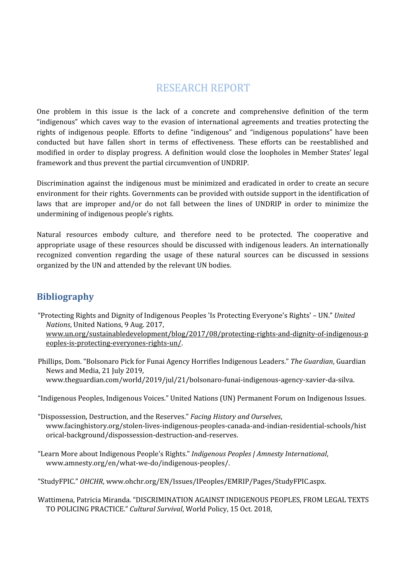One problem in this issue is the lack of a concrete and comprehensive definition of the term "indigenous" which caves way to the evasion of international agreements and treaties protecting the rights of indigenous people. Efforts to define "indigenous" and "indigenous populations" have been conducted but have fallen short in terms of effectiveness. These efforts can be reestablished and modified in order to display progress. A definition would close the loopholes in Member States' legal framework and thus prevent the partial circumvention of UNDRIP.

Discrimination against the indigenous must be minimized and eradicated in order to create an secure environment for their rights. Governments can be provided with outside support in the identification of laws that are improper and/or do not fall between the lines of UNDRIP in order to minimize the undermining of indigenous people's rights.

Natural resources embody culture, and therefore need to be protected. The cooperative and appropriate usage of these resources should be discussed with indigenous leaders. An internationally recognized convention regarding the usage of these natural sources can be discussed in sessions organized by the UN and attended by the relevant UN bodies.

## **Bibliography**

"Protecting Rights and Dignity of Indigenous Peoples 'Is Protecting Everyone's Rights' – UN." *United Nations*, United Nations, 9 Aug. 2017,

[www.un.org/sustainabledevelopment/blog/2017/08/protecting-rights-and-dignity-of-indigenous-p](http://www.un.org/sustainabledevelopment/blog/2017/08/protecting-rights-and-dignity-of-indigenous-peoples-is-protecting-everyones-rights-un/) [eoples-is-protecting-everyones-rights-un/](http://www.un.org/sustainabledevelopment/blog/2017/08/protecting-rights-and-dignity-of-indigenous-peoples-is-protecting-everyones-rights-un/).

Phillips, Dom. "Bolsonaro Pick for Funai Agency Horrifies Indigenous Leaders." *The Guardian*, Guardian News and Media, 21 July 2019, www.theguardian.com/world/2019/jul/21/bolsonaro-funai-indigenous-agency-xavier-da-silva.

"Indigenous Peoples, Indigenous Voices." United Nations (UN) Permanent Forum on Indigenous Issues.

"Dispossession, Destruction, and the Reserves." *Facing History and Ourselves*, www.facinghistory.org/stolen-lives-indigenous-peoples-canada-and-indian-residential-schools/hist orical-background/dispossession-destruction-and-reserves.

"Learn More about Indigenous People's Rights." *Indigenous Peoples | Amnesty International*, www.amnesty.org/en/what-we-do/indigenous-peoples/.

"StudyFPIC." *OHCHR*, www.ohchr.org/EN/Issues/IPeoples/EMRIP/Pages/StudyFPIC.aspx.

Wattimena, Patricia Miranda. "DISCRIMINATION AGAINST INDIGENOUS PEOPLES, FROM LEGAL TEXTS TO POLICING PRACTICE." *Cultural Survival*, World Policy, 15 Oct. 2018,